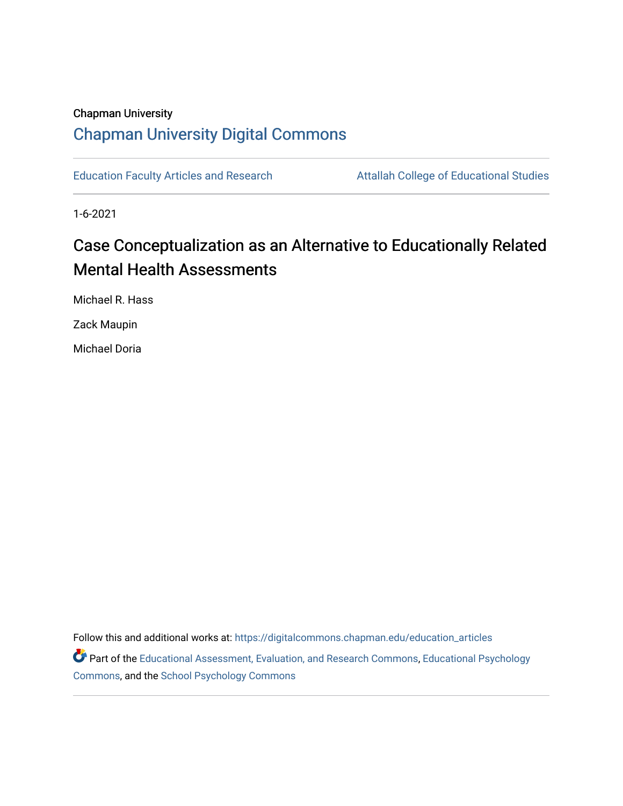# Chapman University [Chapman University Digital Commons](https://digitalcommons.chapman.edu/)

[Education Faculty Articles and Research](https://digitalcommons.chapman.edu/education_articles) **Attallah College of Educational Studies** 

1-6-2021

# Case Conceptualization as an Alternative to Educationally Related Mental Health Assessments

Michael R. Hass

Zack Maupin

Michael Doria

Follow this and additional works at: [https://digitalcommons.chapman.edu/education\\_articles](https://digitalcommons.chapman.edu/education_articles?utm_source=digitalcommons.chapman.edu%2Feducation_articles%2F284&utm_medium=PDF&utm_campaign=PDFCoverPages)

Part of the [Educational Assessment, Evaluation, and Research Commons](http://network.bepress.com/hgg/discipline/796?utm_source=digitalcommons.chapman.edu%2Feducation_articles%2F284&utm_medium=PDF&utm_campaign=PDFCoverPages), [Educational Psychology](http://network.bepress.com/hgg/discipline/798?utm_source=digitalcommons.chapman.edu%2Feducation_articles%2F284&utm_medium=PDF&utm_campaign=PDFCoverPages) [Commons](http://network.bepress.com/hgg/discipline/798?utm_source=digitalcommons.chapman.edu%2Feducation_articles%2F284&utm_medium=PDF&utm_campaign=PDFCoverPages), and the [School Psychology Commons](http://network.bepress.com/hgg/discipline/1072?utm_source=digitalcommons.chapman.edu%2Feducation_articles%2F284&utm_medium=PDF&utm_campaign=PDFCoverPages)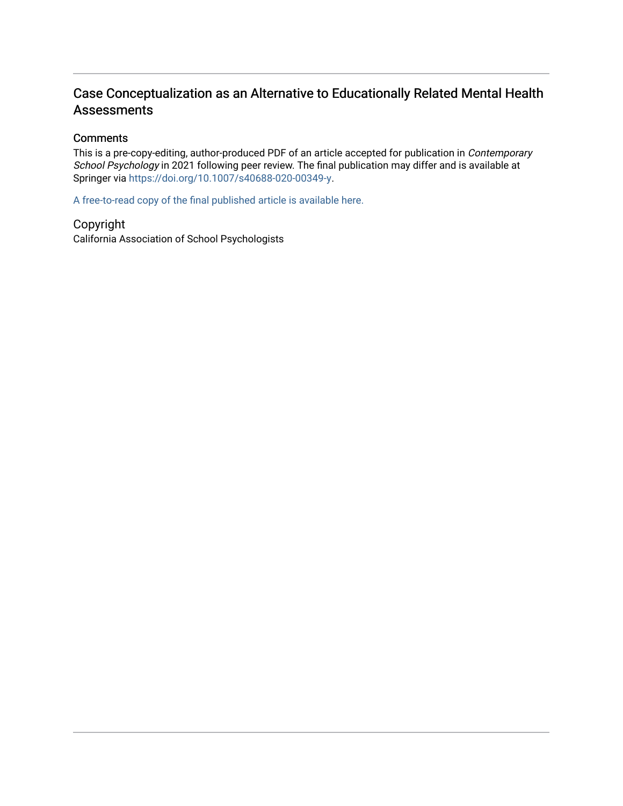# Case Conceptualization as an Alternative to Educationally Related Mental Health Assessments

#### **Comments**

This is a pre-copy-editing, author-produced PDF of an article accepted for publication in Contemporary School Psychology in 2021 following peer review. The final publication may differ and is available at Springer via [https://doi.org/10.1007/s40688-020-00349-y.](https://doi.org/10.1007/s40688-020-00349-y)

[A free-to-read copy of the final published article is available here.](https://rdcu.be/cfoON) 

Copyright

California Association of School Psychologists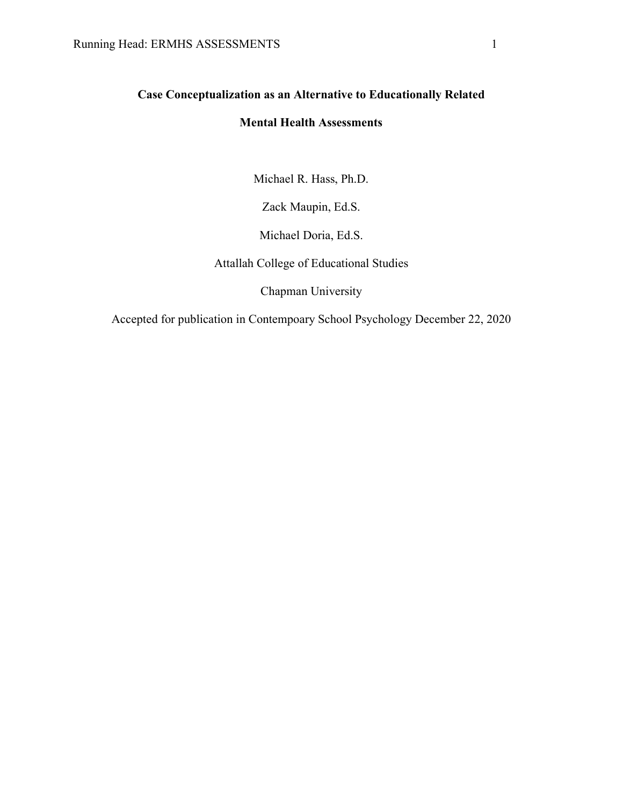# **Case Conceptualization as an Alternative to Educationally Related**

# **Mental Health Assessments**

Michael R. Hass, Ph.D.

Zack Maupin, Ed.S.

Michael Doria, Ed.S.

Attallah College of Educational Studies

Chapman University

Accepted for publication in Contempoary School Psychology December 22, 2020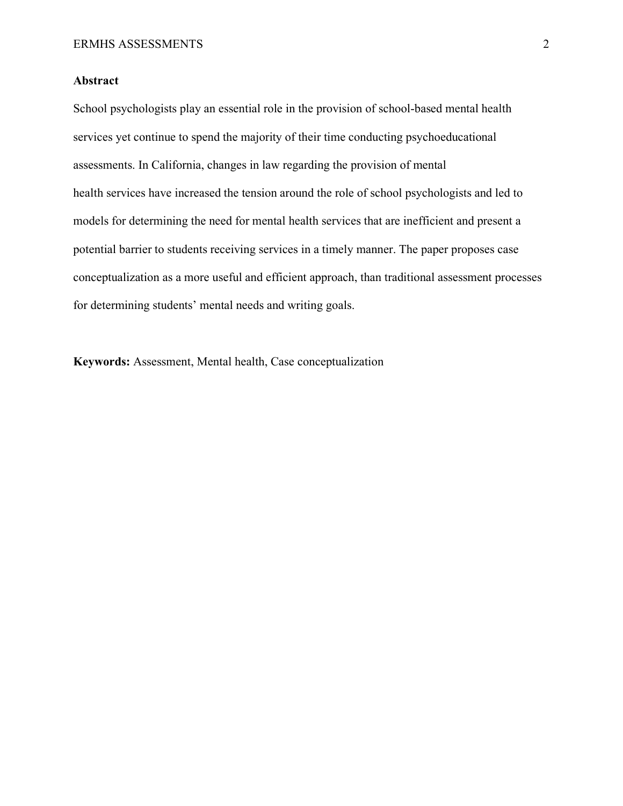#### **Abstract**

School psychologists play an essential role in the provision of school-based mental health services yet continue to spend the majority of their time conducting psychoeducational assessments. In California, changes in law regarding the provision of mental health services have increased the tension around the role of school psychologists and led to models for determining the need for mental health services that are inefficient and present a potential barrier to students receiving services in a timely manner. The paper proposes case conceptualization as a more useful and efficient approach, than traditional assessment processes for determining students' mental needs and writing goals.

**Keywords:** Assessment, Mental health, Case conceptualization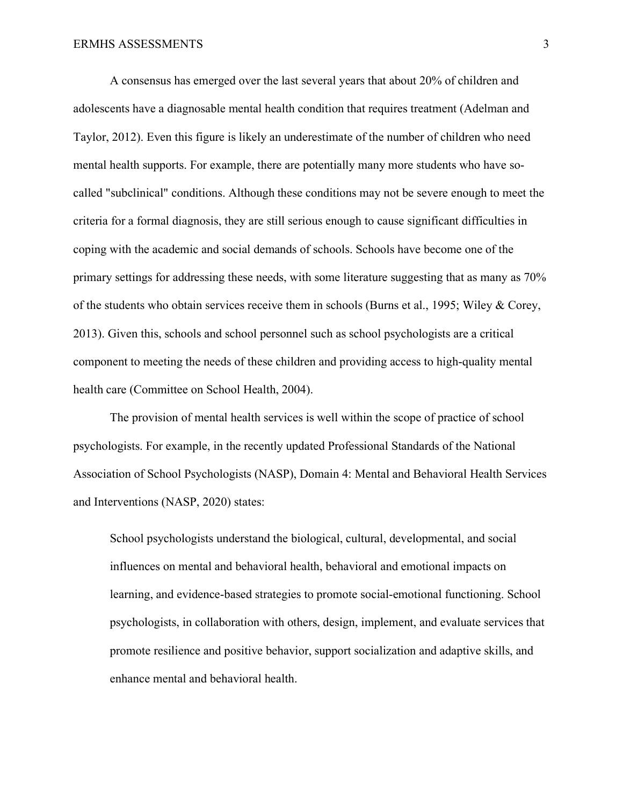A consensus has emerged over the last several years that about 20% of children and adolescents have a diagnosable mental health condition that requires treatment (Adelman and Taylor, 2012). Even this figure is likely an underestimate of the number of children who need mental health supports. For example, there are potentially many more students who have socalled "subclinical" conditions. Although these conditions may not be severe enough to meet the criteria for a formal diagnosis, they are still serious enough to cause significant difficulties in coping with the academic and social demands of schools. Schools have become one of the primary settings for addressing these needs, with some literature suggesting that as many as 70% of the students who obtain services receive them in schools (Burns et al., 1995; Wiley & Corey, 2013). Given this, schools and school personnel such as school psychologists are a critical component to meeting the needs of these children and providing access to high-quality mental health care (Committee on School Health, 2004).

The provision of mental health services is well within the scope of practice of school psychologists. For example, in the recently updated Professional Standards of the National Association of School Psychologists (NASP), Domain 4: Mental and Behavioral Health Services and Interventions (NASP, 2020) states:

School psychologists understand the biological, cultural, developmental, and social influences on mental and behavioral health, behavioral and emotional impacts on learning, and evidence-based strategies to promote social-emotional functioning. School psychologists, in collaboration with others, design, implement, and evaluate services that promote resilience and positive behavior, support socialization and adaptive skills, and enhance mental and behavioral health.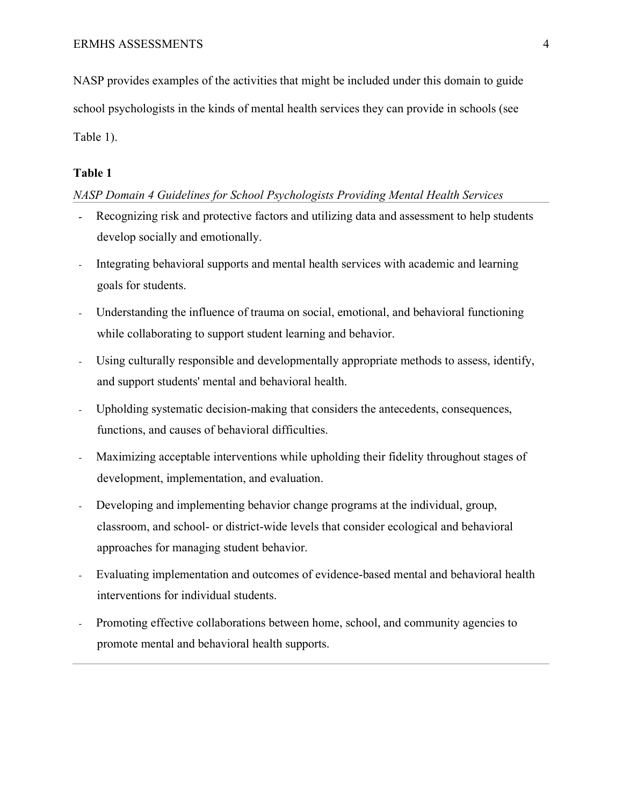NASP provides examples of the activities that might be included under this domain to guide school psychologists in the kinds of mental health services they can provide in schools (see Table 1).

#### **Table 1**

#### *NASP Domain 4 Guidelines for School Psychologists Providing Mental Health Services*

- **-** Recognizing risk and protective factors and utilizing data and assessment to help students develop socially and emotionally.
- Integrating behavioral supports and mental health services with academic and learning goals for students.
- Understanding the influence of trauma on social, emotional, and behavioral functioning while collaborating to support student learning and behavior.
- Using culturally responsible and developmentally appropriate methods to assess, identify, and support students' mental and behavioral health.
- Upholding systematic decision-making that considers the antecedents, consequences, functions, and causes of behavioral difficulties.
- Maximizing acceptable interventions while upholding their fidelity throughout stages of development, implementation, and evaluation.
- Developing and implementing behavior change programs at the individual, group, classroom, and school- or district-wide levels that consider ecological and behavioral approaches for managing student behavior.
- Evaluating implementation and outcomes of evidence-based mental and behavioral health interventions for individual students.
- Promoting effective collaborations between home, school, and community agencies to promote mental and behavioral health supports.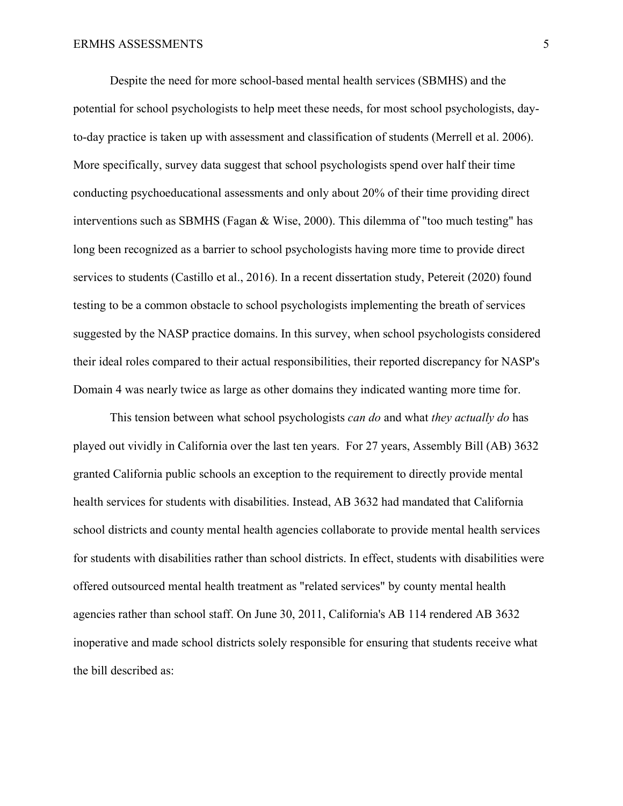Despite the need for more school-based mental health services (SBMHS) and the potential for school psychologists to help meet these needs, for most school psychologists, dayto-day practice is taken up with assessment and classification of students (Merrell et al. 2006). More specifically, survey data suggest that school psychologists spend over half their time conducting psychoeducational assessments and only about 20% of their time providing direct interventions such as SBMHS (Fagan & Wise, 2000). This dilemma of "too much testing" has long been recognized as a barrier to school psychologists having more time to provide direct services to students (Castillo et al., 2016). In a recent dissertation study, Petereit (2020) found testing to be a common obstacle to school psychologists implementing the breath of services suggested by the NASP practice domains. In this survey, when school psychologists considered their ideal roles compared to their actual responsibilities, their reported discrepancy for NASP's Domain 4 was nearly twice as large as other domains they indicated wanting more time for.

This tension between what school psychologists *can do* and what *they actually do* has played out vividly in California over the last ten years. For 27 years, Assembly Bill (AB) 3632 granted California public schools an exception to the requirement to directly provide mental health services for students with disabilities. Instead, AB 3632 had mandated that California school districts and county mental health agencies collaborate to provide mental health services for students with disabilities rather than school districts. In effect, students with disabilities were offered outsourced mental health treatment as "related services" by county mental health agencies rather than school staff. On June 30, 2011, California's AB 114 rendered AB 3632 inoperative and made school districts solely responsible for ensuring that students receive what the bill described as: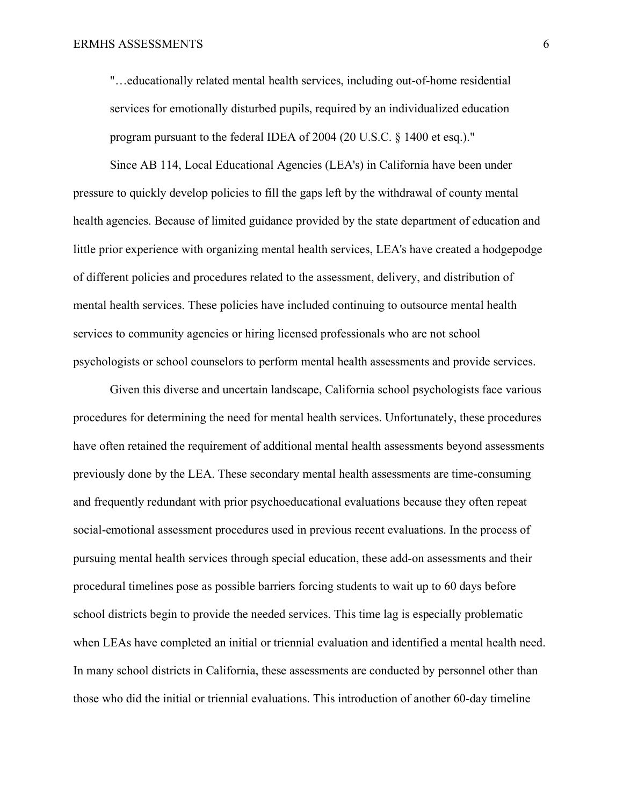"…educationally related mental health services, including out-of-home residential services for emotionally disturbed pupils, required by an individualized education program pursuant to the federal IDEA of 2004 (20 U.S.C. § 1400 et esq.)."

Since AB 114, Local Educational Agencies (LEA's) in California have been under pressure to quickly develop policies to fill the gaps left by the withdrawal of county mental health agencies. Because of limited guidance provided by the state department of education and little prior experience with organizing mental health services, LEA's have created a hodgepodge of different policies and procedures related to the assessment, delivery, and distribution of mental health services. These policies have included continuing to outsource mental health services to community agencies or hiring licensed professionals who are not school psychologists or school counselors to perform mental health assessments and provide services.

Given this diverse and uncertain landscape, California school psychologists face various procedures for determining the need for mental health services. Unfortunately, these procedures have often retained the requirement of additional mental health assessments beyond assessments previously done by the LEA. These secondary mental health assessments are time-consuming and frequently redundant with prior psychoeducational evaluations because they often repeat social-emotional assessment procedures used in previous recent evaluations. In the process of pursuing mental health services through special education, these add-on assessments and their procedural timelines pose as possible barriers forcing students to wait up to 60 days before school districts begin to provide the needed services. This time lag is especially problematic when LEAs have completed an initial or triennial evaluation and identified a mental health need. In many school districts in California, these assessments are conducted by personnel other than those who did the initial or triennial evaluations. This introduction of another 60-day timeline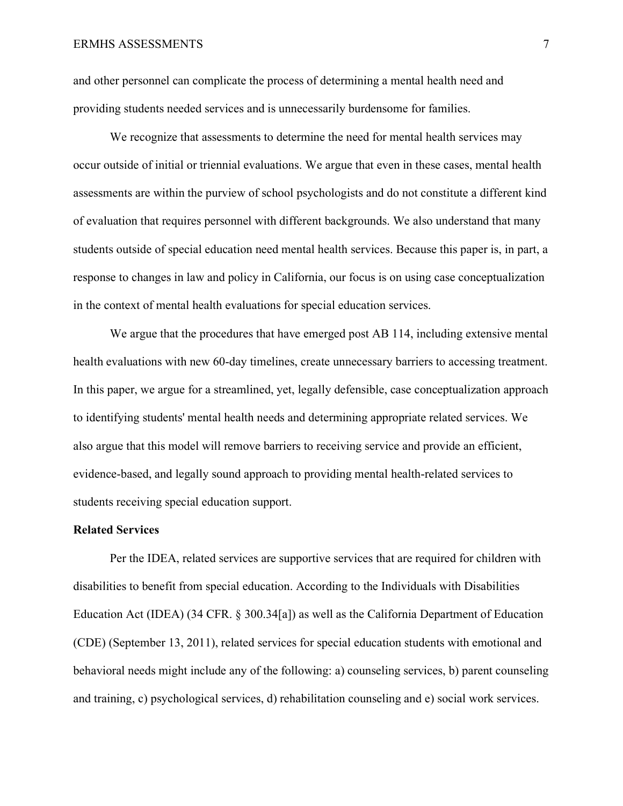and other personnel can complicate the process of determining a mental health need and providing students needed services and is unnecessarily burdensome for families.

We recognize that assessments to determine the need for mental health services may occur outside of initial or triennial evaluations. We argue that even in these cases, mental health assessments are within the purview of school psychologists and do not constitute a different kind of evaluation that requires personnel with different backgrounds. We also understand that many students outside of special education need mental health services. Because this paper is, in part, a response to changes in law and policy in California, our focus is on using case conceptualization in the context of mental health evaluations for special education services.

We argue that the procedures that have emerged post AB 114, including extensive mental health evaluations with new 60-day timelines, create unnecessary barriers to accessing treatment. In this paper, we argue for a streamlined, yet, legally defensible, case conceptualization approach to identifying students' mental health needs and determining appropriate related services. We also argue that this model will remove barriers to receiving service and provide an efficient, evidence-based, and legally sound approach to providing mental health-related services to students receiving special education support.

#### **Related Services**

Per the IDEA, related services are supportive services that are required for children with disabilities to benefit from special education. According to the Individuals with Disabilities Education Act (IDEA) (34 CFR. § 300.34[a]) as well as the California Department of Education (CDE) (September 13, 2011), related services for special education students with emotional and behavioral needs might include any of the following: a) counseling services, b) parent counseling and training, c) psychological services, d) rehabilitation counseling and e) social work services.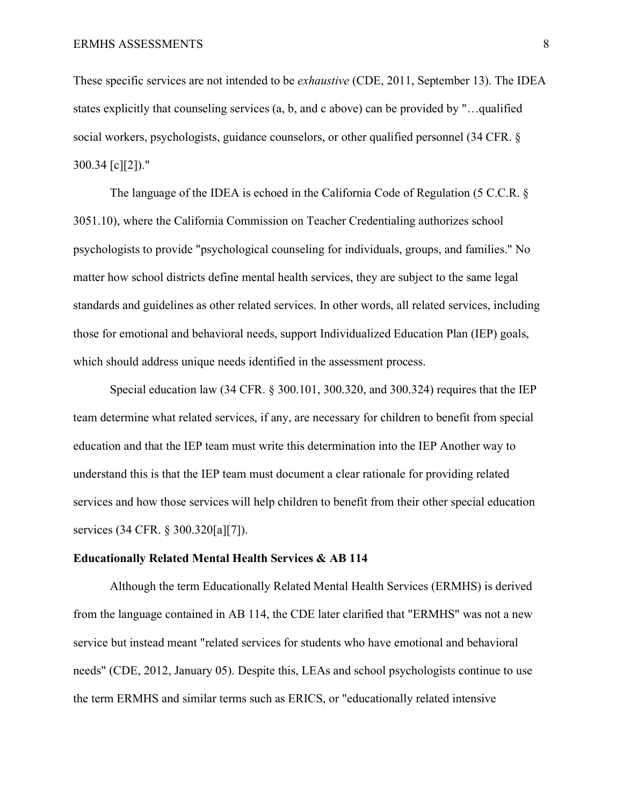These specific services are not intended to be *exhaustive* (CDE, 2011, September 13). The IDEA states explicitly that counseling services (a, b, and c above) can be provided by "…qualified social workers, psychologists, guidance counselors, or other qualified personnel (34 CFR. § 300.34 [c][2])."

The language of the IDEA is echoed in the California Code of Regulation (5 C.C.R. § 3051.10), where the California Commission on Teacher Credentialing authorizes school psychologists to provide "psychological counseling for individuals, groups, and families." No matter how school districts define mental health services, they are subject to the same legal standards and guidelines as other related services. In other words, all related services, including those for emotional and behavioral needs, support Individualized Education Plan (IEP) goals, which should address unique needs identified in the assessment process.

Special education law (34 CFR. § 300.101, 300.320, and 300.324) requires that the IEP team determine what related services, if any, are necessary for children to benefit from special education and that the IEP team must write this determination into the IEP Another way to understand this is that the IEP team must document a clear rationale for providing related services and how those services will help children to benefit from their other special education services (34 CFR. § 300.320[a][7]).

#### **Educationally Related Mental Health Services & AB 114**

Although the term Educationally Related Mental Health Services (ERMHS) is derived from the language contained in AB 114, the CDE later clarified that "ERMHS" was not a new service but instead meant "related services for students who have emotional and behavioral needs" (CDE, 2012, January 05). Despite this, LEAs and school psychologists continue to use the term ERMHS and similar terms such as ERICS, or "educationally related intensive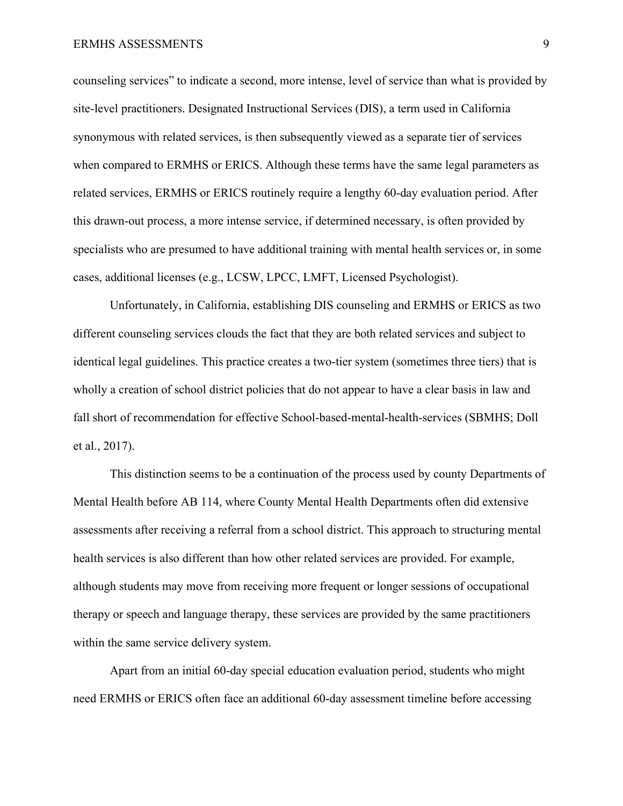counseling services" to indicate a second, more intense, level of service than what is provided by site-level practitioners. Designated Instructional Services (DIS), a term used in California synonymous with related services, is then subsequently viewed as a separate tier of services when compared to ERMHS or ERICS. Although these terms have the same legal parameters as related services, ERMHS or ERICS routinely require a lengthy 60-day evaluation period. After this drawn-out process, a more intense service, if determined necessary, is often provided by specialists who are presumed to have additional training with mental health services or, in some cases, additional licenses (e.g., LCSW, LPCC, LMFT, Licensed Psychologist).

Unfortunately, in California, establishing DIS counseling and ERMHS or ERICS as two different counseling services clouds the fact that they are both related services and subject to identical legal guidelines. This practice creates a two-tier system (sometimes three tiers) that is wholly a creation of school district policies that do not appear to have a clear basis in law and fall short of recommendation for effective School-based-mental-health-services (SBMHS; Doll et al., 2017).

This distinction seems to be a continuation of the process used by county Departments of Mental Health before AB 114, where County Mental Health Departments often did extensive assessments after receiving a referral from a school district. This approach to structuring mental health services is also different than how other related services are provided. For example, although students may move from receiving more frequent or longer sessions of occupational therapy or speech and language therapy, these services are provided by the same practitioners within the same service delivery system.

Apart from an initial 60-day special education evaluation period, students who might need ERMHS or ERICS often face an additional 60-day assessment timeline before accessing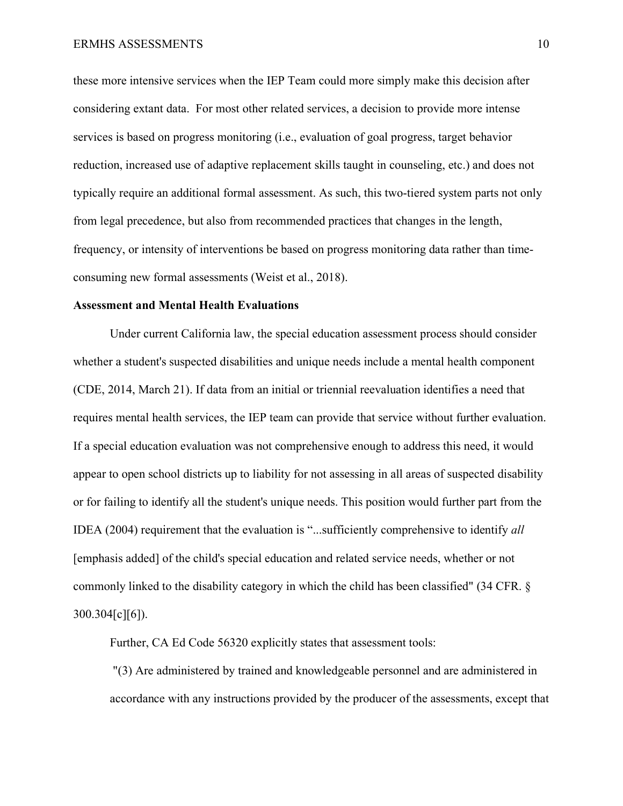these more intensive services when the IEP Team could more simply make this decision after considering extant data. For most other related services, a decision to provide more intense services is based on progress monitoring (i.e., evaluation of goal progress, target behavior reduction, increased use of adaptive replacement skills taught in counseling, etc.) and does not typically require an additional formal assessment. As such, this two-tiered system parts not only from legal precedence, but also from recommended practices that changes in the length, frequency, or intensity of interventions be based on progress monitoring data rather than timeconsuming new formal assessments (Weist et al., 2018).

#### **Assessment and Mental Health Evaluations**

Under current California law, the special education assessment process should consider whether a student's suspected disabilities and unique needs include a mental health component (CDE, 2014, March 21). If data from an initial or triennial reevaluation identifies a need that requires mental health services, the IEP team can provide that service without further evaluation. If a special education evaluation was not comprehensive enough to address this need, it would appear to open school districts up to liability for not assessing in all areas of suspected disability or for failing to identify all the student's unique needs. This position would further part from the IDEA (2004) requirement that the evaluation is "...sufficiently comprehensive to identify *all* [emphasis added] of the child's special education and related service needs, whether or not commonly linked to the disability category in which the child has been classified" (34 CFR. § 300.304[c][6]).

Further, CA Ed Code 56320 explicitly states that assessment tools:

"(3) Are administered by trained and knowledgeable personnel and are administered in accordance with any instructions provided by the producer of the assessments, except that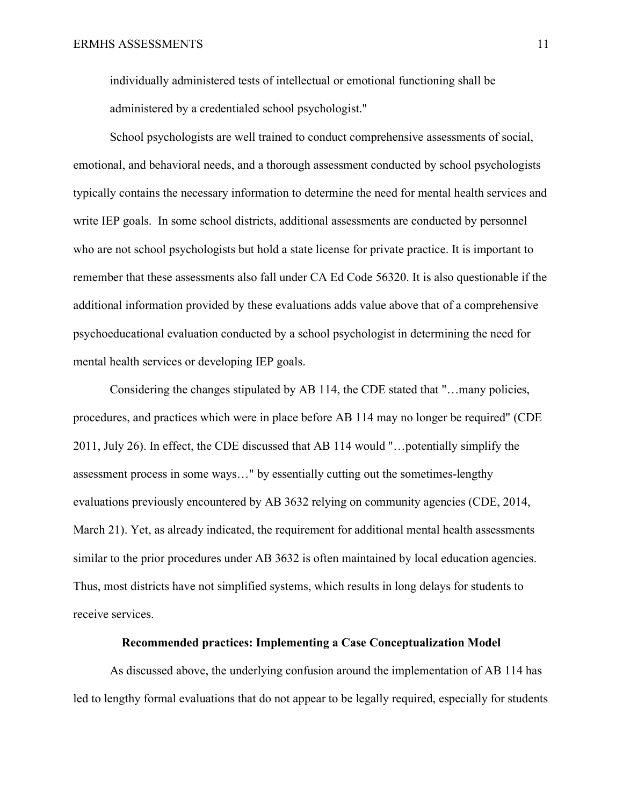individually administered tests of intellectual or emotional functioning shall be administered by a credentialed school psychologist."

School psychologists are well trained to conduct comprehensive assessments of social, emotional, and behavioral needs, and a thorough assessment conducted by school psychologists typically contains the necessary information to determine the need for mental health services and write IEP goals. In some school districts, additional assessments are conducted by personnel who are not school psychologists but hold a state license for private practice. It is important to remember that these assessments also fall under CA Ed Code 56320. It is also questionable if the additional information provided by these evaluations adds value above that of a comprehensive psychoeducational evaluation conducted by a school psychologist in determining the need for mental health services or developing IEP goals.

Considering the changes stipulated by AB 114, the CDE stated that "…many policies, procedures, and practices which were in place before AB 114 may no longer be required" (CDE 2011, July 26). In effect, the CDE discussed that AB 114 would "…potentially simplify the assessment process in some ways…" by essentially cutting out the sometimes-lengthy evaluations previously encountered by AB 3632 relying on community agencies (CDE, 2014, March 21). Yet, as already indicated, the requirement for additional mental health assessments similar to the prior procedures under AB 3632 is often maintained by local education agencies. Thus, most districts have not simplified systems, which results in long delays for students to receive services.

#### **Recommended practices: Implementing a Case Conceptualization Model**

As discussed above, the underlying confusion around the implementation of AB 114 has led to lengthy formal evaluations that do not appear to be legally required, especially for students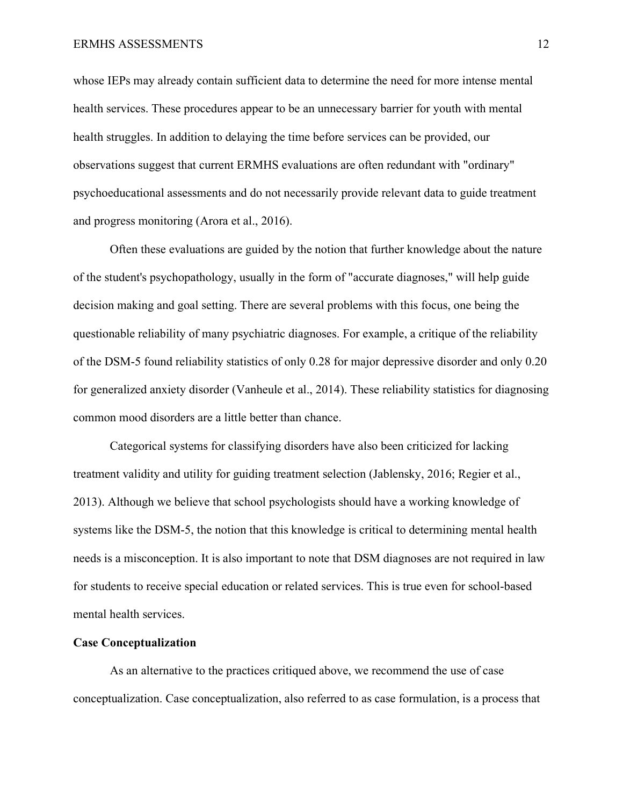#### ERMHS ASSESSMENTS 12

whose IEPs may already contain sufficient data to determine the need for more intense mental health services. These procedures appear to be an unnecessary barrier for youth with mental health struggles. In addition to delaying the time before services can be provided, our observations suggest that current ERMHS evaluations are often redundant with "ordinary" psychoeducational assessments and do not necessarily provide relevant data to guide treatment and progress monitoring (Arora et al., 2016).

Often these evaluations are guided by the notion that further knowledge about the nature of the student's psychopathology, usually in the form of "accurate diagnoses," will help guide decision making and goal setting. There are several problems with this focus, one being the questionable reliability of many psychiatric diagnoses. For example, a critique of the reliability of the DSM-5 found reliability statistics of only 0.28 for major depressive disorder and only 0.20 for generalized anxiety disorder (Vanheule et al., 2014). These reliability statistics for diagnosing common mood disorders are a little better than chance.

Categorical systems for classifying disorders have also been criticized for lacking treatment validity and utility for guiding treatment selection (Jablensky, 2016; Regier et al., 2013). Although we believe that school psychologists should have a working knowledge of systems like the DSM-5, the notion that this knowledge is critical to determining mental health needs is a misconception. It is also important to note that DSM diagnoses are not required in law for students to receive special education or related services. This is true even for school-based mental health services.

#### **Case Conceptualization**

As an alternative to the practices critiqued above, we recommend the use of case conceptualization. Case conceptualization, also referred to as case formulation, is a process that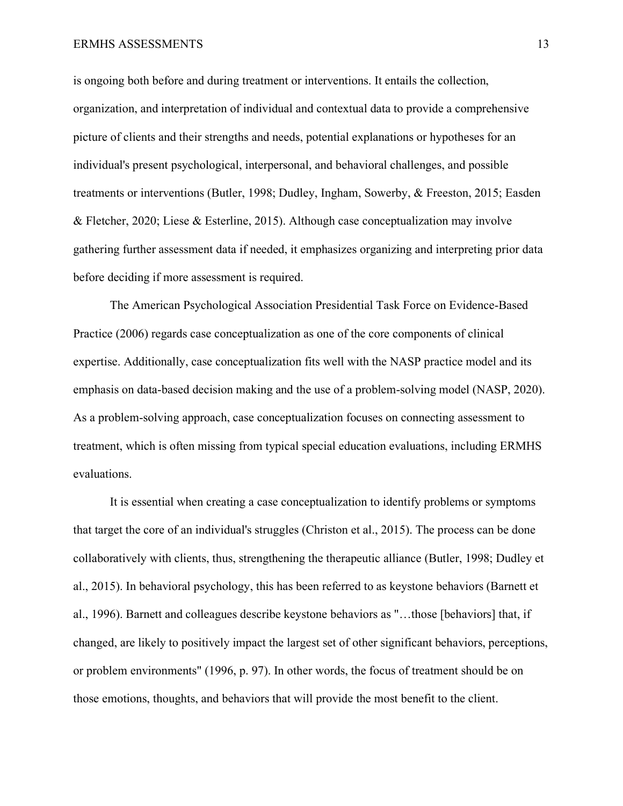#### ERMHS ASSESSMENTS 13

is ongoing both before and during treatment or interventions. It entails the collection, organization, and interpretation of individual and contextual data to provide a comprehensive picture of clients and their strengths and needs, potential explanations or hypotheses for an individual's present psychological, interpersonal, and behavioral challenges, and possible treatments or interventions (Butler, 1998; Dudley, Ingham, Sowerby, & Freeston, 2015; Easden & Fletcher, 2020; Liese & Esterline, 2015). Although case conceptualization may involve gathering further assessment data if needed, it emphasizes organizing and interpreting prior data before deciding if more assessment is required.

The American Psychological Association Presidential Task Force on Evidence-Based Practice (2006) regards case conceptualization as one of the core components of clinical expertise. Additionally, case conceptualization fits well with the NASP practice model and its emphasis on data-based decision making and the use of a problem-solving model (NASP, 2020). As a problem-solving approach, case conceptualization focuses on connecting assessment to treatment, which is often missing from typical special education evaluations, including ERMHS evaluations.

It is essential when creating a case conceptualization to identify problems or symptoms that target the core of an individual's struggles (Christon et al., 2015). The process can be done collaboratively with clients, thus, strengthening the therapeutic alliance (Butler, 1998; Dudley et al., 2015). In behavioral psychology, this has been referred to as keystone behaviors (Barnett et al., 1996). Barnett and colleagues describe keystone behaviors as "…those [behaviors] that, if changed, are likely to positively impact the largest set of other significant behaviors, perceptions, or problem environments" (1996, p. 97). In other words, the focus of treatment should be on those emotions, thoughts, and behaviors that will provide the most benefit to the client.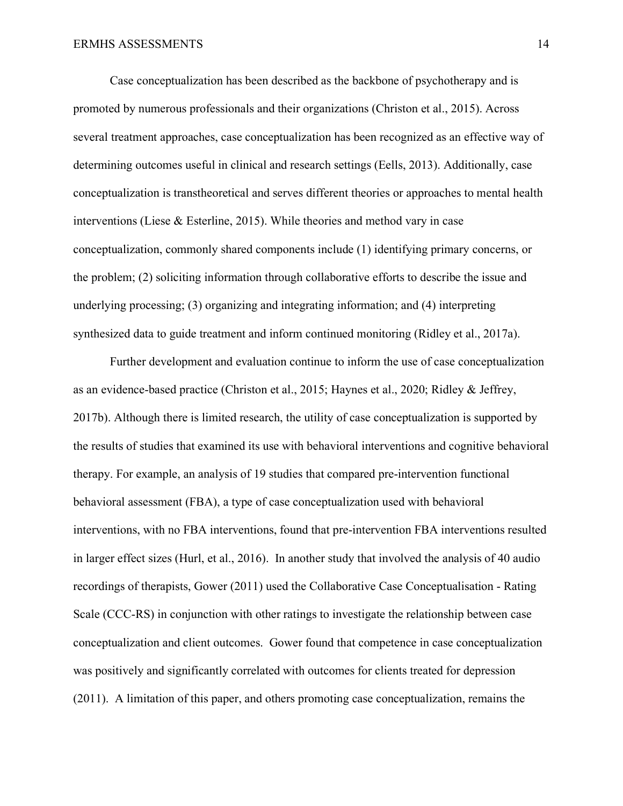Case conceptualization has been described as the backbone of psychotherapy and is promoted by numerous professionals and their organizations (Christon et al., 2015). Across several treatment approaches, case conceptualization has been recognized as an effective way of determining outcomes useful in clinical and research settings (Eells, 2013). Additionally, case conceptualization is transtheoretical and serves different theories or approaches to mental health interventions (Liese & Esterline, 2015). While theories and method vary in case conceptualization, commonly shared components include (1) identifying primary concerns, or the problem; (2) soliciting information through collaborative efforts to describe the issue and underlying processing; (3) organizing and integrating information; and (4) interpreting synthesized data to guide treatment and inform continued monitoring (Ridley et al., 2017a).

Further development and evaluation continue to inform the use of case conceptualization as an evidence-based practice (Christon et al., 2015; Haynes et al., 2020; Ridley & Jeffrey, 2017b). Although there is limited research, the utility of case conceptualization is supported by the results of studies that examined its use with behavioral interventions and cognitive behavioral therapy. For example, an analysis of 19 studies that compared pre-intervention functional behavioral assessment (FBA), a type of case conceptualization used with behavioral interventions, with no FBA interventions, found that pre-intervention FBA interventions resulted in larger effect sizes (Hurl, et al., 2016). In another study that involved the analysis of 40 audio recordings of therapists, Gower (2011) used the Collaborative Case Conceptualisation - Rating Scale (CCC-RS) in conjunction with other ratings to investigate the relationship between case conceptualization and client outcomes. Gower found that competence in case conceptualization was positively and significantly correlated with outcomes for clients treated for depression (2011). A limitation of this paper, and others promoting case conceptualization, remains the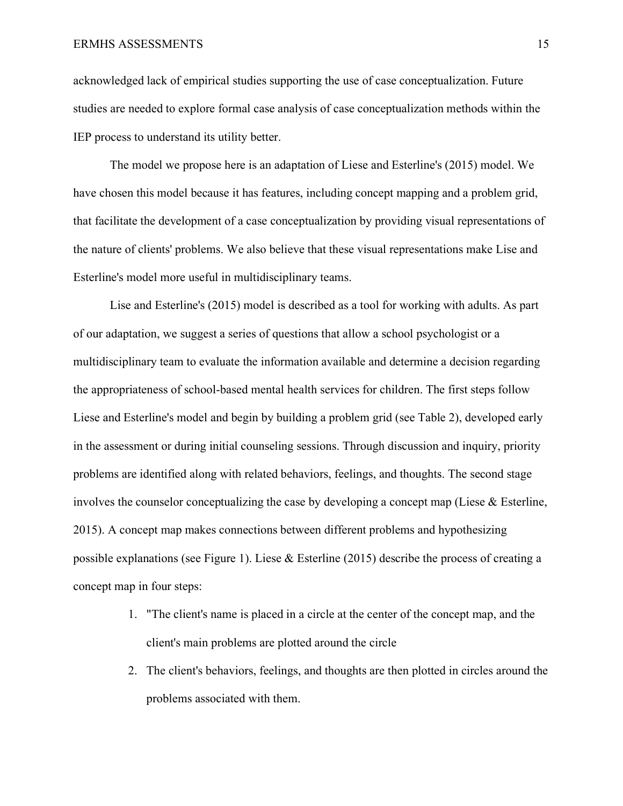#### ERMHS ASSESSMENTS 15

acknowledged lack of empirical studies supporting the use of case conceptualization. Future studies are needed to explore formal case analysis of case conceptualization methods within the IEP process to understand its utility better.

The model we propose here is an adaptation of Liese and Esterline's (2015) model. We have chosen this model because it has features, including concept mapping and a problem grid, that facilitate the development of a case conceptualization by providing visual representations of the nature of clients' problems. We also believe that these visual representations make Lise and Esterline's model more useful in multidisciplinary teams.

Lise and Esterline's (2015) model is described as a tool for working with adults. As part of our adaptation, we suggest a series of questions that allow a school psychologist or a multidisciplinary team to evaluate the information available and determine a decision regarding the appropriateness of school-based mental health services for children. The first steps follow Liese and Esterline's model and begin by building a problem grid (see Table 2), developed early in the assessment or during initial counseling sessions. Through discussion and inquiry, priority problems are identified along with related behaviors, feelings, and thoughts. The second stage involves the counselor conceptualizing the case by developing a concept map (Liese  $\&$  Esterline, 2015). A concept map makes connections between different problems and hypothesizing possible explanations (see Figure 1). Liese & Esterline (2015) describe the process of creating a concept map in four steps:

- 1. "The client's name is placed in a circle at the center of the concept map, and the client's main problems are plotted around the circle
- 2. The client's behaviors, feelings, and thoughts are then plotted in circles around the problems associated with them.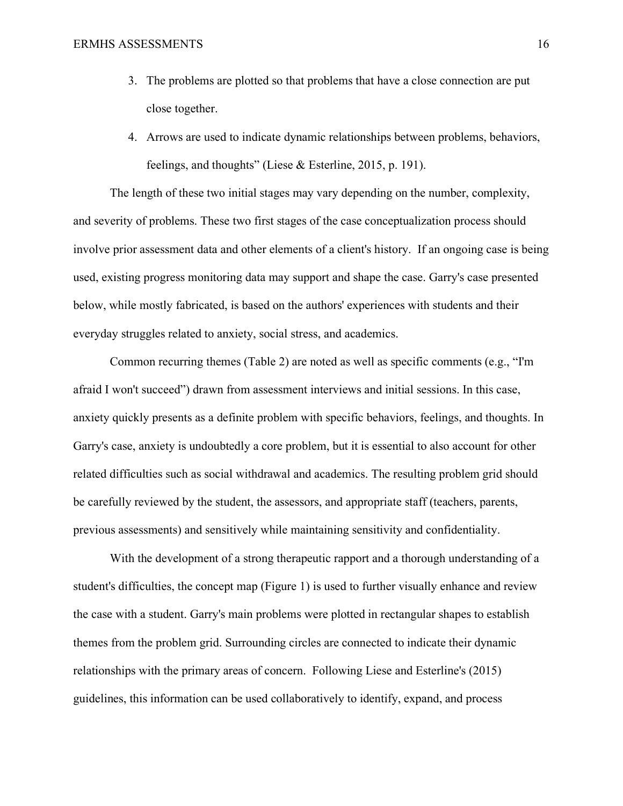- 3. The problems are plotted so that problems that have a close connection are put close together.
- 4. Arrows are used to indicate dynamic relationships between problems, behaviors, feelings, and thoughts" (Liese & Esterline, 2015, p. 191).

The length of these two initial stages may vary depending on the number, complexity, and severity of problems. These two first stages of the case conceptualization process should involve prior assessment data and other elements of a client's history. If an ongoing case is being used, existing progress monitoring data may support and shape the case. Garry's case presented below, while mostly fabricated, is based on the authors' experiences with students and their everyday struggles related to anxiety, social stress, and academics.

Common recurring themes (Table 2) are noted as well as specific comments (e.g., "I'm afraid I won't succeed") drawn from assessment interviews and initial sessions. In this case, anxiety quickly presents as a definite problem with specific behaviors, feelings, and thoughts. In Garry's case, anxiety is undoubtedly a core problem, but it is essential to also account for other related difficulties such as social withdrawal and academics. The resulting problem grid should be carefully reviewed by the student, the assessors, and appropriate staff (teachers, parents, previous assessments) and sensitively while maintaining sensitivity and confidentiality.

With the development of a strong therapeutic rapport and a thorough understanding of a student's difficulties, the concept map (Figure 1) is used to further visually enhance and review the case with a student. Garry's main problems were plotted in rectangular shapes to establish themes from the problem grid. Surrounding circles are connected to indicate their dynamic relationships with the primary areas of concern. Following Liese and Esterline's (2015) guidelines, this information can be used collaboratively to identify, expand, and process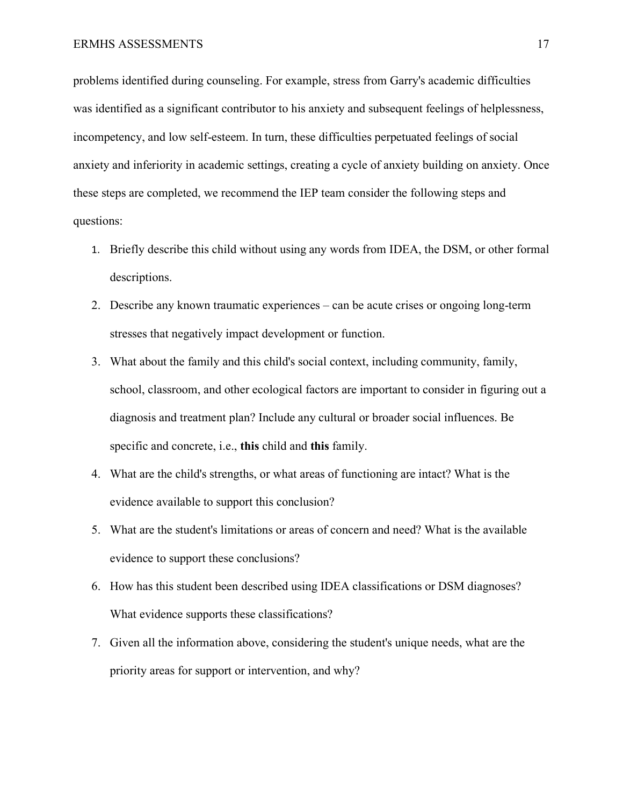problems identified during counseling. For example, stress from Garry's academic difficulties was identified as a significant contributor to his anxiety and subsequent feelings of helplessness, incompetency, and low self-esteem. In turn, these difficulties perpetuated feelings of social anxiety and inferiority in academic settings, creating a cycle of anxiety building on anxiety. Once these steps are completed, we recommend the IEP team consider the following steps and questions:

- 1. Briefly describe this child without using any words from IDEA, the DSM, or other formal descriptions.
- 2. Describe any known traumatic experiences can be acute crises or ongoing long-term stresses that negatively impact development or function.
- 3. What about the family and this child's social context, including community, family, school, classroom, and other ecological factors are important to consider in figuring out a diagnosis and treatment plan? Include any cultural or broader social influences. Be specific and concrete, i.e., **this** child and **this** family.
- 4. What are the child's strengths, or what areas of functioning are intact? What is the evidence available to support this conclusion?
- 5. What are the student's limitations or areas of concern and need? What is the available evidence to support these conclusions?
- 6. How has this student been described using IDEA classifications or DSM diagnoses? What evidence supports these classifications?
- 7. Given all the information above, considering the student's unique needs, what are the priority areas for support or intervention, and why?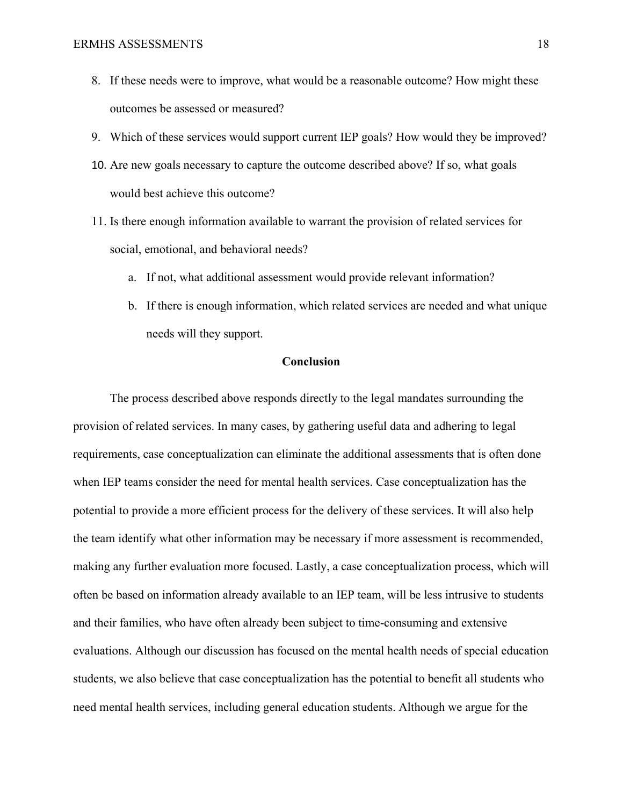- 8. If these needs were to improve, what would be a reasonable outcome? How might these outcomes be assessed or measured?
- 9. Which of these services would support current IEP goals? How would they be improved?
- 10. Are new goals necessary to capture the outcome described above? If so, what goals would best achieve this outcome?
- 11. Is there enough information available to warrant the provision of related services for social, emotional, and behavioral needs?
	- a. If not, what additional assessment would provide relevant information?
	- b. If there is enough information, which related services are needed and what unique needs will they support.

#### **Conclusion**

The process described above responds directly to the legal mandates surrounding the provision of related services. In many cases, by gathering useful data and adhering to legal requirements, case conceptualization can eliminate the additional assessments that is often done when IEP teams consider the need for mental health services. Case conceptualization has the potential to provide a more efficient process for the delivery of these services. It will also help the team identify what other information may be necessary if more assessment is recommended, making any further evaluation more focused. Lastly, a case conceptualization process, which will often be based on information already available to an IEP team, will be less intrusive to students and their families, who have often already been subject to time-consuming and extensive evaluations. Although our discussion has focused on the mental health needs of special education students, we also believe that case conceptualization has the potential to benefit all students who need mental health services, including general education students. Although we argue for the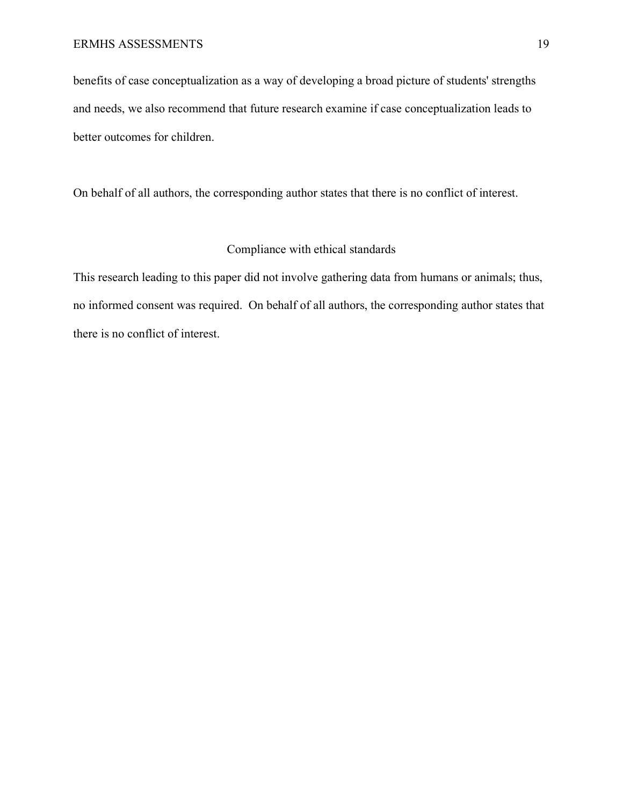benefits of case conceptualization as a way of developing a broad picture of students' strengths and needs, we also recommend that future research examine if case conceptualization leads to better outcomes for children.

On behalf of all authors, the corresponding author states that there is no conflict of interest.

#### Compliance with ethical standards

This research leading to this paper did not involve gathering data from humans or animals; thus, no informed consent was required. On behalf of all authors, the corresponding author states that there is no conflict of interest.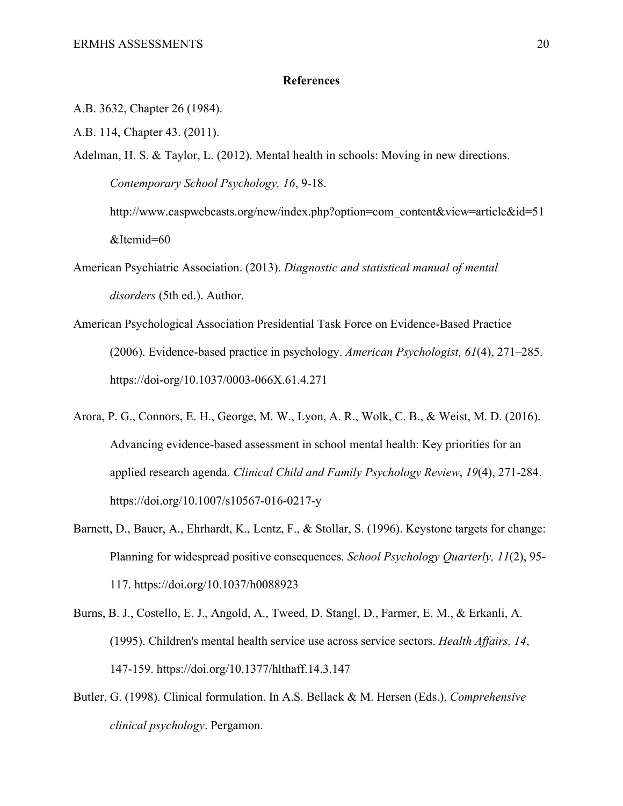#### **References**

- A.B. 3632, Chapter 26 (1984).
- A.B. 114, Chapter 43. (2011).
- Adelman, H. S. & Taylor, L. (2012). Mental health in schools: Moving in new directions. *Contemporary School Psychology, 16*, 9-18. [http://www.caspwebcasts.org/new/index.php?option=com\\_content&view=article&id=51](http://www.caspwebcasts.org/new/index.php?option=com_content&view=article&id=51&Itemid=60)

[&Itemid=60](http://www.caspwebcasts.org/new/index.php?option=com_content&view=article&id=51&Itemid=60)

- American Psychiatric Association. (2013). *Diagnostic and statistical manual of mental disorders* (5th ed.). Author.
- American Psychological Association Presidential Task Force on Evidence-Based Practice (2006). Evidence-based practice in psychology. *American Psychologist, 61*(4), 271–285. [https://doi-org/10.1037/0003-066X.61.4.271](https://doi-org.libproxy.chapman.edu/10.1037/0003-066X.61.4.271)
- Arora, P. G., Connors, E. H., George, M. W., Lyon, A. R., Wolk, C. B., & Weist, M. D. (2016). Advancing evidence-based assessment in school mental health: Key priorities for an applied research agenda. *Clinical Child and Family Psychology Review*, *19*(4), 271-284. <https://doi.org/10.1007/s10567-016-0217-y>
- Barnett, D., Bauer, A., Ehrhardt, K., Lentz, F., & Stollar, S. (1996). Keystone targets for change: Planning for widespread positive consequences. *School Psychology Quarterly, 11*(2), 95- 117.<https://doi.org/>[10.1037/h0088923](https://psycnet.apa.org/doi/10.1037/h0088923)
- Burns, B. J., Costello, E. J., Angold, A., Tweed, D. Stangl, D., Farmer, E. M., & Erkanli, A. (1995). Children's mental health service use across service sectors. *Health Affairs, 14*, 147-159. <https://doi.org/10.1377/hlthaff.14.3.147>
- Butler, G. (1998). Clinical formulation. In A.S. Bellack & M. Hersen (Eds.), *Comprehensive clinical psychology*. Pergamon.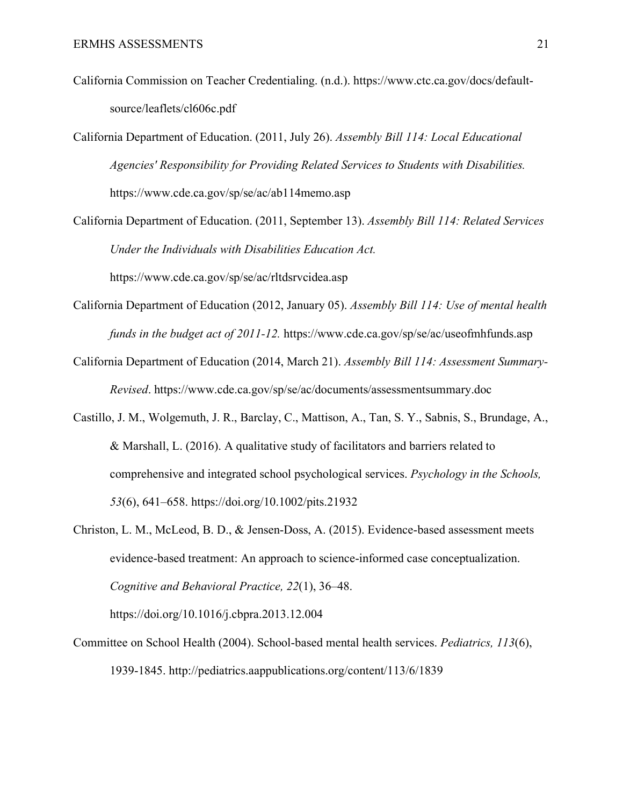- California Commission on Teacher Credentialing. (n.d.). [https://www.ctc.ca.gov/docs/default](https://www.ctc.ca.gov/docs/default-source/leaflets/cl606c.pdf)[source/leaflets/cl606c.pdf](https://www.ctc.ca.gov/docs/default-source/leaflets/cl606c.pdf)
- California Department of Education. (2011, July 26). *Assembly Bill 114: Local Educational Agencies' Responsibility for Providing Related Services to Students with Disabilities.*  <https://www.cde.ca.gov/sp/se/ac/ab114memo.asp>
- California Department of Education. (2011, September 13). *Assembly Bill 114: Related Services Under the Individuals with Disabilities Education Act.*

<https://www.cde.ca.gov/sp/se/ac/rltdsrvcidea.asp>

- California Department of Education (2012, January 05). *Assembly Bill 114: Use of mental health funds in the budget act of 2011-12.* <https://www.cde.ca.gov/sp/se/ac/useofmhfunds.asp>
- California Department of Education (2014, March 21). *Assembly Bill 114: Assessment Summary-Revised*.<https://www.cde.ca.gov/sp/se/ac/documents/assessmentsummary.doc>
- Castillo, J. M., Wolgemuth, J. R., Barclay, C., Mattison, A., Tan, S. Y., Sabnis, S., Brundage, A., & Marshall, L. (2016). A qualitative study of facilitators and barriers related to comprehensive and integrated school psychological services. *Psychology in the Schools, 53*(6), 641–658. [https://doi.org/10.1002/pits.21932](https://doi-org.leo.lib.unomaha.edu/10.1002/pits.21932)
- Christon, L. M., McLeod, B. D., & Jensen-Doss, A. (2015). Evidence-based assessment meets evidence-based treatment: An approach to science-informed case conceptualization. *Cognitive and Behavioral Practice, 22*(1), 36–48.

https://doi.org/10.1016/j.cbpra.2013.12.004

Committee on School Health (2004). School-based mental health services. *Pediatrics, 113*(6), 1939-1845. <http://pediatrics.aappublications.org/content/113/6/1839>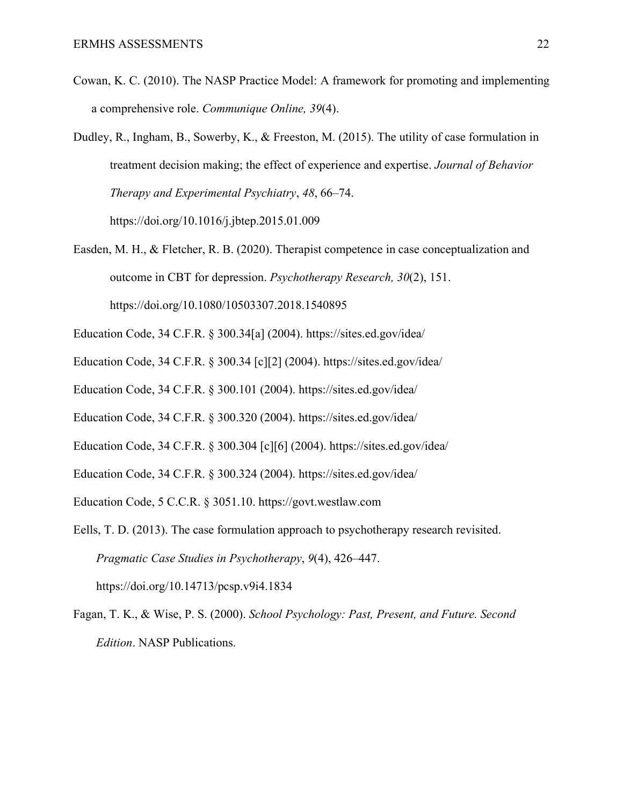- Cowan, K. C. (2010). The NASP Practice Model: A framework for promoting and implementing a comprehensive role. *Communique Online, 39*(4).
- Dudley, R., Ingham, B., Sowerby, K., & Freeston, M. (2015). The utility of case formulation in treatment decision making; the effect of experience and expertise. *Journal of Behavior Therapy and Experimental Psychiatry*, *48*, 66–74.

<https://doi.org/10.1016/j.jbtep.2015.01.009>

- Easden, M. H., & Fletcher, R. B. (2020). Therapist competence in case conceptualization and outcome in CBT for depression. *Psychotherapy Research, 30*(2), 151. https://doi.org/10.1080/10503307.2018.1540895
- Education Code, 34 C.F.R. § 300.34[a] (2004).<https://sites.ed.gov/idea/>
- Education Code, 34 C.F.R. § 300.34 [c][2] (2004).<https://sites.ed.gov/idea/>
- Education Code, 34 C.F.R. § 300.101 (2004).<https://sites.ed.gov/idea/>
- Education Code, 34 C.F.R. § 300.320 (2004).<https://sites.ed.gov/idea/>
- Education Code, 34 C.F.R. § 300.304 [c][6] (2004).<https://sites.ed.gov/idea/>
- Education Code, 34 C.F.R. § 300.324 (2004).<https://sites.ed.gov/idea/>
- Education Code, 5 C.C.R. § 3051.10. [https://govt.westlaw.com](https://govt.westlaw.com/)
- Eells, T. D. (2013). The case formulation approach to psychotherapy research revisited. *Pragmatic Case Studies in Psychotherapy*, *9*(4), 426–447. [https://doi.org/10.14713/pcsp.v9i4.1834](https://doi-org.libproxy.chapman.edu/10.14713/pcsp.v9i4.1834)
- Fagan, T. K., & Wise, P. S. (2000). *School Psychology: Past, Present, and Future. Second Edition*. NASP Publications.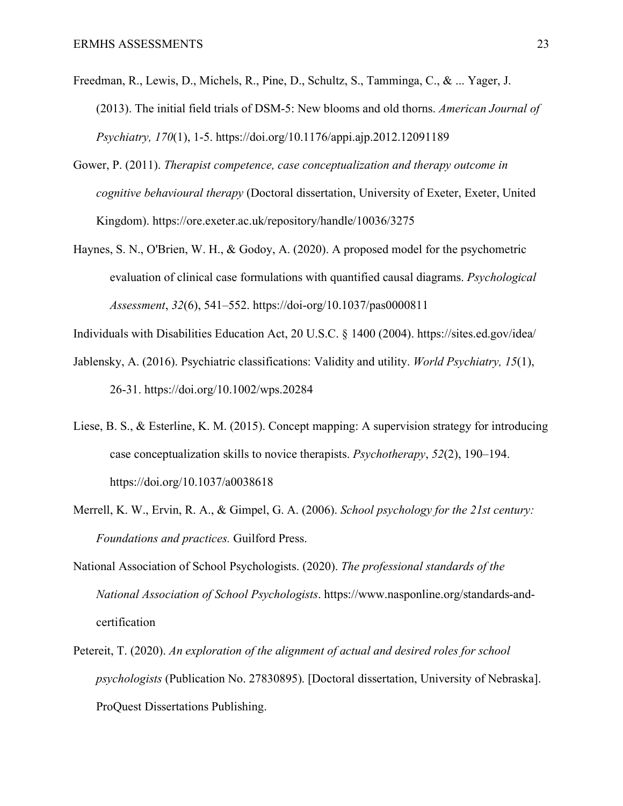- Freedman, R., Lewis, D., Michels, R., Pine, D., Schultz, S., Tamminga, C., & ... Yager, J. (2013). The initial field trials of DSM-5: New blooms and old thorns. *American Journal of Psychiatry, 170*(1), 1-5.<https://doi.org/10.1176/appi.ajp.2012.12091189>
- Gower, P. (2011). *Therapist competence, case conceptualization and therapy outcome in cognitive behavioural therapy* (Doctoral dissertation, University of Exeter, Exeter, United Kingdom). https://ore.exeter.ac.uk/repository/handle/10036/3275
- Haynes, S. N., O'Brien, W. H., & Godoy, A. (2020). A proposed model for the psychometric evaluation of clinical case formulations with quantified causal diagrams. *Psychological Assessment*, *32*(6), 541–552. https://doi-org/10.1037/pas0000811

Individuals with Disabilities Education Act, 20 U.S.C. § 1400 (2004).<https://sites.ed.gov/idea/>

- Jablensky, A. (2016). Psychiatric classifications: Validity and utility. *World Psychiatry, 15*(1), 26-31. https://doi.org/10.1002/wps.20284
- Liese, B. S., & Esterline, K. M. (2015). Concept mapping: A supervision strategy for introducing case conceptualization skills to novice therapists. *Psychotherapy*, *52*(2), 190–194. <https://doi.org/10.1037/a0038618>
- Merrell, K. W., Ervin, R. A., & Gimpel, G. A. (2006). *School psychology for the 21st century: Foundations and practices.* Guilford Press.
- National Association of School Psychologists. (2020). *The professional standards of the National Association of School Psychologists*. https://www.nasponline.org/standards-andcertification
- Petereit, T. (2020). *An exploration of the alignment of actual and desired roles for school psychologists* (Publication No. 27830895). [Doctoral dissertation, University of Nebraska]. ProQuest Dissertations Publishing.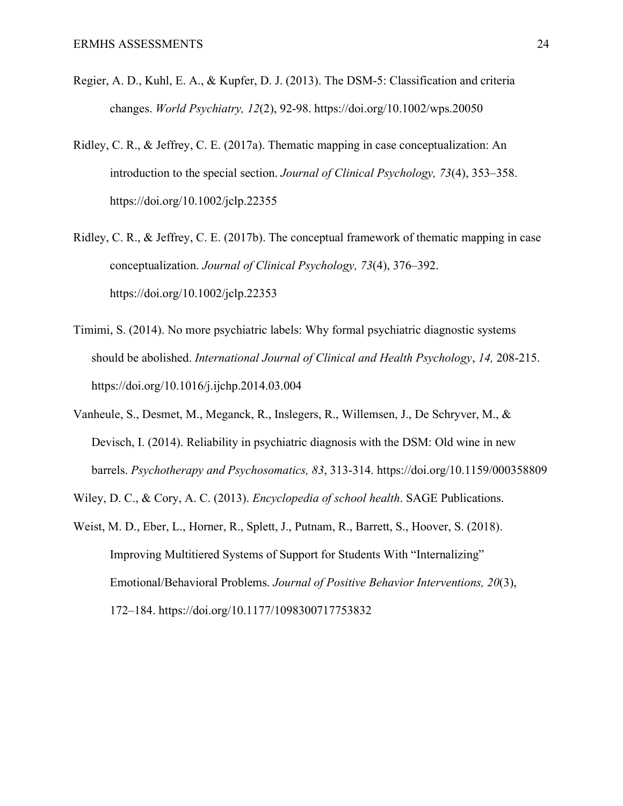- Regier, A. D., Kuhl, E. A., & Kupfer, D. J. (2013). The DSM-5: Classification and criteria changes. *World Psychiatry, 12*(2), 92-98.<https://doi.org/10.1002/wps.20050>
- Ridley, C. R., & Jeffrey, C. E. (2017a). Thematic mapping in case conceptualization: An introduction to the special section. *Journal of Clinical Psychology, 73*(4), 353–358. <https://doi.org/10.1002/jclp.22355>
- Ridley, C. R., & Jeffrey, C. E. (2017b). The conceptual framework of thematic mapping in case conceptualization. *Journal of Clinical Psychology, 73*(4), 376–392. https://doi.org/10.1002/jclp.22353
- Timimi, S. (2014). No more psychiatric labels: Why formal psychiatric diagnostic systems should be abolished. *International Journal of Clinical and Health Psychology*, *14,* 208-215. <https://doi.org/10.1016/j.ijchp.2014.03.004>
- Vanheule, S., Desmet, M., Meganck, R., Inslegers, R., Willemsen, J., De Schryver, M., & Devisch, I. (2014). Reliability in psychiatric diagnosis with the DSM: Old wine in new barrels. *Psychotherapy and Psychosomatics, 83*, 313-314.<https://doi.org/10.1159/000358809>
- Wiley, D. C., & Cory, A. C. (2013). *Encyclopedia of school health*. SAGE Publications.
- Weist, M. D., Eber, L., Horner, R., Splett, J., Putnam, R., Barrett, S., Hoover, S. (2018). Improving Multitiered Systems of Support for Students With "Internalizing" Emotional/Behavioral Problems. *Journal of Positive Behavior Interventions, 20*(3), 172–184.<https://doi.org/10.1177/1098300717753832>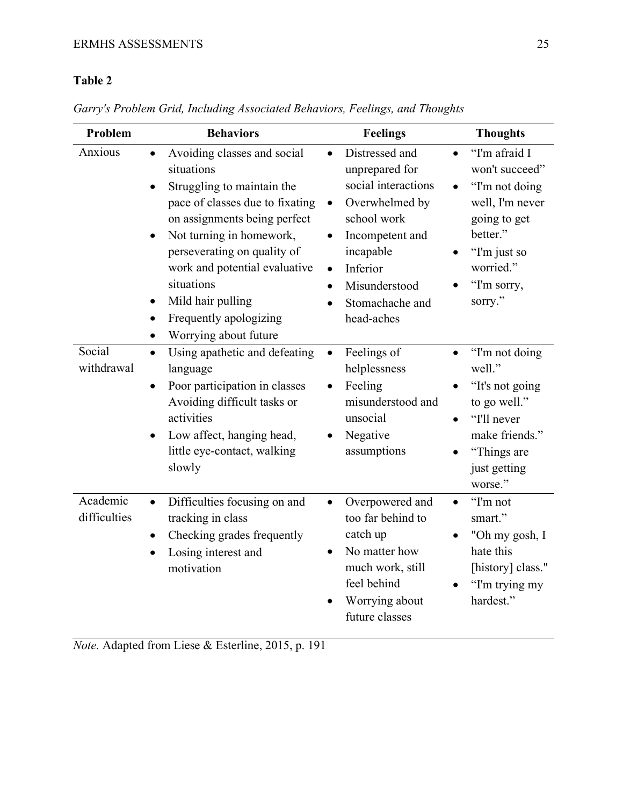## **Table 2**

| Problem                  | <b>Behaviors</b>                                                                                                                                                                                                                                                                                                                                                                 | <b>Feelings</b>                                                                                                                                                                                                               | <b>Thoughts</b>                                                                                                                                         |
|--------------------------|----------------------------------------------------------------------------------------------------------------------------------------------------------------------------------------------------------------------------------------------------------------------------------------------------------------------------------------------------------------------------------|-------------------------------------------------------------------------------------------------------------------------------------------------------------------------------------------------------------------------------|---------------------------------------------------------------------------------------------------------------------------------------------------------|
| Anxious                  | Avoiding classes and social<br>$\bullet$<br>situations<br>Struggling to maintain the<br>pace of classes due to fixating<br>on assignments being perfect<br>Not turning in homework,<br>$\bullet$<br>perseverating on quality of<br>work and potential evaluative<br>situations<br>Mild hair pulling<br>$\bullet$<br>Frequently apologizing<br>Worrying about future<br>$\bullet$ | Distressed and<br>unprepared for<br>social interactions<br>Overwhelmed by<br>$\bullet$<br>school work<br>Incompetent and<br>$\bullet$<br>incapable<br>Inferior<br>$\bullet$<br>Misunderstood<br>Stomachache and<br>head-aches | "I'm afraid I<br>won't succeed"<br>"I'm not doing<br>well, I'm never<br>going to get<br>better."<br>"I'm just so<br>worried."<br>"I'm sorry,<br>sorry." |
| Social<br>withdrawal     | Using apathetic and defeating<br>$\bullet$<br>language<br>Poor participation in classes<br>Avoiding difficult tasks or<br>activities<br>Low affect, hanging head,<br>$\bullet$<br>little eye-contact, walking<br>slowly                                                                                                                                                          | Feelings of<br>helplessness<br>Feeling<br>misunderstood and<br>unsocial<br>Negative<br>assumptions                                                                                                                            | "I'm not doing<br>well."<br>"It's not going<br>to go well."<br>"I'll never<br>make friends."<br>"Things are<br>just getting<br>worse."                  |
| Academic<br>difficulties | Difficulties focusing on and<br>$\bullet$<br>tracking in class<br>Checking grades frequently<br>$\bullet$<br>Losing interest and<br>$\bullet$<br>motivation                                                                                                                                                                                                                      | Overpowered and<br>too far behind to<br>catch up<br>No matter how<br>much work, still<br>feel behind<br>Worrying about<br>future classes                                                                                      | "I'm not<br>$\bullet$<br>smart."<br>"Oh my gosh, I<br>hate this<br>[history] class."<br>"I'm trying my<br>hardest."                                     |

*Garry's Problem Grid, Including Associated Behaviors, Feelings, and Thoughts*

*Note.* Adapted from Liese & Esterline, 2015, p. 191